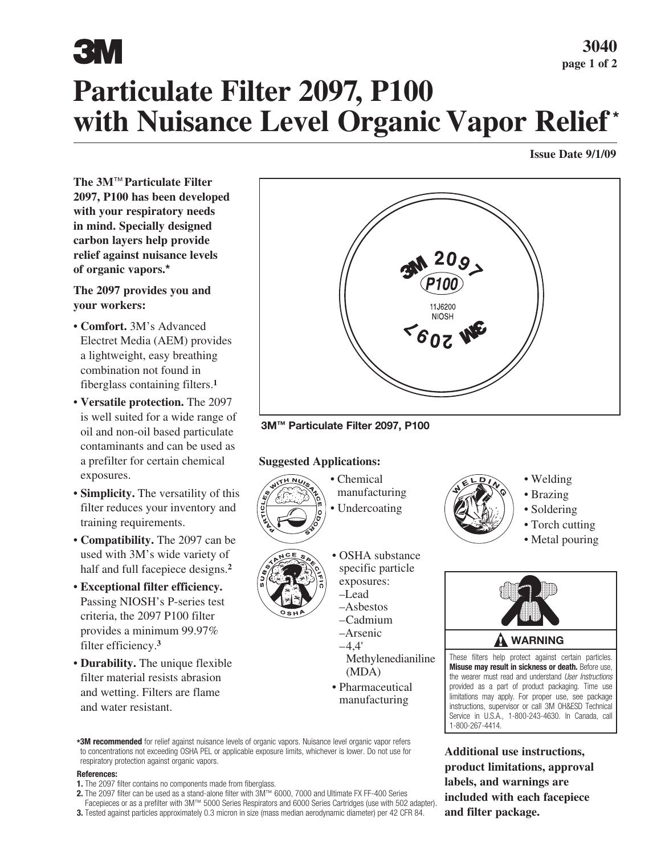# 3W

## **Particulate Filter 2097, P100 with Nuisance Level Organic Vapor Relief \***

#### **Issue Date 9/1/09**

**The 3M**™ **Particulate Filter 2097, P100 has been developed with your respiratory needs in mind. Specially designed carbon layers help provide relief against nuisance levels of organic vapors.\***

#### **The 2097 provides you and your workers:**

- **Comfort.** 3M's Advanced Electret Media (AEM) provides a lightweight, easy breathing combination not found in fiberglass containing filters.**<sup>1</sup>**
- **Versatile protection.** The 2097 is well suited for a wide range of oil and non-oil based particulate contaminants and can be used as a prefilter for certain chemical exposures.
- **Simplicity.** The versatility of this filter reduces your inventory and training requirements.
- **Compatibility.** The 2097 can be used with 3M's wide variety of half and full facepiece designs.**<sup>2</sup>**
- **Exceptional filter efficiency.**  Passing NIOSH's P-series test criteria, the 2097 P100 filter provides a minimum 99.97% filter efficiency.**<sup>3</sup>**
- **Durability.** The unique flexible filter material resists abrasion and wetting. Filters are flame and water resistant.



**3M™ Particulate Filter 2097, P100**

#### **Suggested Applications:**



• Chemical manufacturing • Undercoating





- OSHA substance specific particle exposures:
	- –Lead –Asbestos –Cadmium
	- –Arsenic  $-4,4'$

Methylenedianiline (MDA)

• Pharmaceutical manufacturing

**\*3M recommended** for relief against nuisance levels of organic vapors. Nuisance level organic vapor refers to concentrations not exceeding OSHA PEL or applicable exposure limits, whichever is lower. Do not use for respiratory protection against organic vapors.

#### **References:**

- **1.** The 2097 filter contains no components made from fiberglass.
- **2.** The 2097 filter can be used as a stand-alone filter with 3M™ 6000, 7000 and Ultimate FX FF-400 Series
- Facepieces or as a prefilter with 3M™ 5000 Series Respirators and 6000 Series Cartridges (use with 502 adapter).
- **3.** Tested against particles approximately 0.3 micron in size (mass median aerodynamic diameter) per 42 CFR 84.



- Welding
- Brazing
- Soldering
- Torch cutting
- Metal pouring



These filters help protect against certain particles. **Misuse may result in sickness or death.** Before use, the wearer must read and understand *User Instructions* provided as a part of product packaging. Time use limitations may apply. For proper use, see package instructions, supervisor or call 3M OH&ESD Technical Service in U.S.A., 1-800-243-4630. In Canada, call 1-800-267-4414.

**Additional use instructions, product limitations, approval labels, and warnings are included with each facepiece and filter package.**